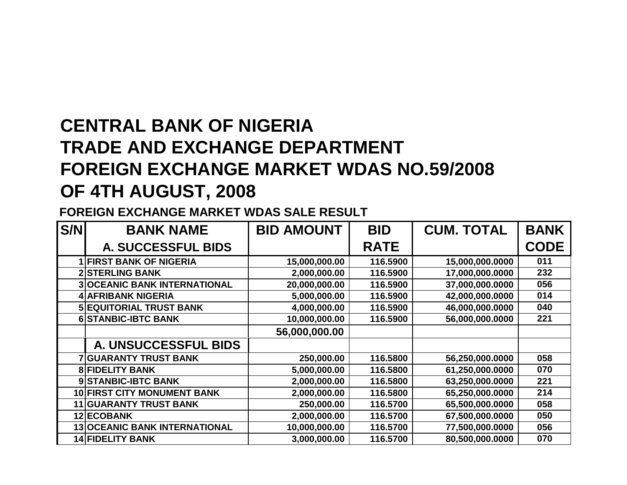## **CENTRAL BANK OF NIGERIA TRADE AND EXCHANGE DEPARTMENT FOREIGN EXCHANGE MARKET WDAS NO.59/2008OF 4TH AUGUST, 2008**

**FOREIGN EXCHANGE MARKET WDAS SALE RESULT**

| S/N | <b>BANK NAME</b>                     | <b>BID AMOUNT</b> | <b>BID</b>  | <b>CUM. TOTAL</b> | <b>BANK</b> |
|-----|--------------------------------------|-------------------|-------------|-------------------|-------------|
|     | A. SUCCESSFUL BIDS                   |                   | <b>RATE</b> |                   | <b>CODE</b> |
|     | <b>1 FIRST BANK OF NIGERIA</b>       | 15,000,000.00     | 116.5900    | 15,000,000.0000   | 011         |
|     | <b>2 STERLING BANK</b>               | 2,000,000.00      | 116.5900    | 17,000,000.0000   | 232         |
|     | <b>3 OCEANIC BANK INTERNATIONAL</b>  | 20,000,000.00     | 116.5900    | 37,000,000.0000   | 056         |
|     | <b>4 AFRIBANK NIGERIA</b>            | 5,000,000.00      | 116.5900    | 42,000,000.0000   | 014         |
|     | <b>5 EQUITORIAL TRUST BANK</b>       | 4,000,000.00      | 116.5900    | 46,000,000.0000   | 040         |
|     | <b>6 STANBIC-IBTC BANK</b>           | 10,000,000.00     | 116.5900    | 56,000,000.0000   | 221         |
|     |                                      | 56,000,000.00     |             |                   |             |
|     | A. UNSUCCESSFUL BIDS                 |                   |             |                   |             |
|     | <b>7 GUARANTY TRUST BANK</b>         | 250,000.00        | 116.5800    | 56,250,000.0000   | 058         |
|     | <b>8 FIDELITY BANK</b>               | 5,000,000.00      | 116.5800    | 61,250,000.0000   | 070         |
|     | 9 STANBIC-IBTC BANK                  | 2,000,000.00      | 116.5800    | 63,250,000.0000   | 221         |
|     | <b>10 FIRST CITY MONUMENT BANK</b>   | 2,000,000.00      | 116.5800    | 65,250,000.0000   | 214         |
|     | <b>11 GUARANTY TRUST BANK</b>        | 250,000.00        | 116.5700    | 65,500,000.0000   | 058         |
|     | 12 ECOBANK                           | 2,000,000.00      | 116.5700    | 67,500,000.0000   | 050         |
|     | <b>13 OCEANIC BANK INTERNATIONAL</b> | 10,000,000.00     | 116.5700    | 77,500,000.0000   | 056         |
|     | <b>14 FIDELITY BANK</b>              | 3,000,000.00      | 116.5700    | 80,500,000.0000   | 070         |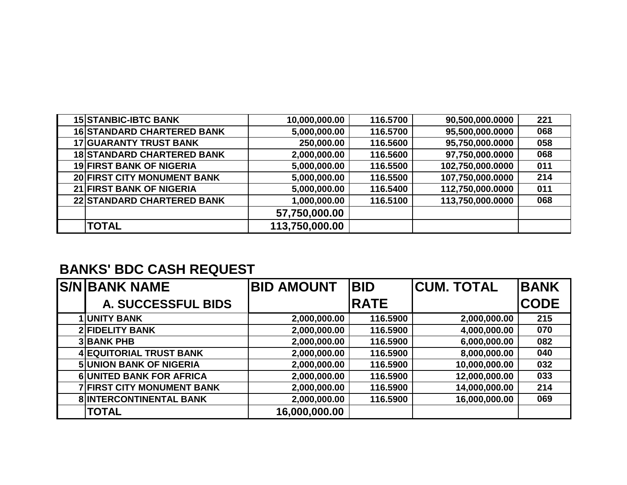| <b>15 STANBIC-IBTC BANK</b>       | 10,000,000.00  | 116.5700 | 90,500,000.0000  | 221 |
|-----------------------------------|----------------|----------|------------------|-----|
| <b>16 STANDARD CHARTERED BANK</b> | 5,000,000.00   | 116.5700 | 95,500,000.0000  | 068 |
| <b>17 GUARANTY TRUST BANK</b>     | 250,000.00     | 116.5600 | 95,750,000.0000  | 058 |
| <b>18 STANDARD CHARTERED BANK</b> | 2,000,000.00   | 116.5600 | 97,750,000.0000  | 068 |
| <b>19 FIRST BANK OF NIGERIA</b>   | 5,000,000.00   | 116.5500 | 102,750,000.0000 | 011 |
| 20 FIRST CITY MONUMENT BANK       | 5,000,000.00   | 116.5500 | 107,750,000.0000 | 214 |
| 21 FIRST BANK OF NIGERIA          | 5,000,000.00   | 116.5400 | 112,750,000.0000 | 011 |
| 22 STANDARD CHARTERED BANK        | 1,000,000.00   | 116.5100 | 113,750,000.0000 | 068 |
|                                   | 57,750,000.00  |          |                  |     |
| <b>TOTAL</b>                      | 113,750,000.00 |          |                  |     |

## **BANKS' BDC CASH REQUEST**

| <b>S/N BANK NAME</b>              | <b>BID AMOUNT</b> | <b>BID</b>  | <b>CUM. TOTAL</b> | <b>BANK</b> |
|-----------------------------------|-------------------|-------------|-------------------|-------------|
| <b>A. SUCCESSFUL BIDS</b>         |                   | <b>RATE</b> |                   | <b>CODE</b> |
| UNITY BANK                        | 2,000,000.00      | 116.5900    | 2,000,000.00      | 215         |
| <b>2 FIDELITY BANK</b>            | 2,000,000.00      | 116.5900    | 4,000,000.00      | 070         |
| <b>3 BANK PHB</b>                 | 2,000,000.00      | 116.5900    | 6,000,000.00      | 082         |
| 4 EQUITORIAL TRUST BANK           | 2,000,000.00      | 116.5900    | 8,000,000.00      | 040         |
| <b>5 UNION BANK OF NIGERIA</b>    | 2,000,000.00      | 116.5900    | 10,000,000.00     | 032         |
| <b>6 UNITED BANK FOR AFRICA</b>   | 2,000,000.00      | 116.5900    | 12,000,000.00     | 033         |
| <b>7 FIRST CITY MONUMENT BANK</b> | 2,000,000.00      | 116.5900    | 14,000,000.00     | 214         |
| <b>8 INTERCONTINENTAL BANK</b>    | 2,000,000.00      | 116.5900    | 16,000,000.00     | 069         |
| <b>TOTAL</b>                      | 16,000,000.00     |             |                   |             |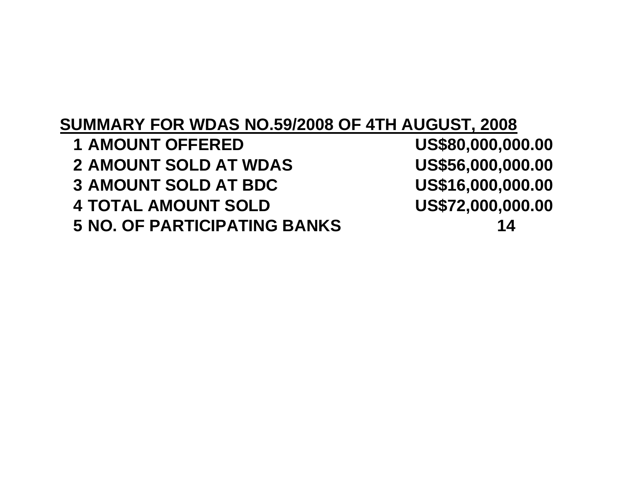## **SUMMARY FOR WDAS NO.59/2008 OF 4TH AUGUST, 2008**US\$80,000,000.00 **1 AMOUNT OFFERED** US\$56,000,000.00 **2 AMOUNT SOLD AT WDAS** US\$16,000,000.00 **3** AMOUNT SOLD AT BDC US\$72,000,000.00 **4 TOTAL AMOUNT SOLD 5 NO. OF PARTICIPATING BANKS <sup>14</sup>**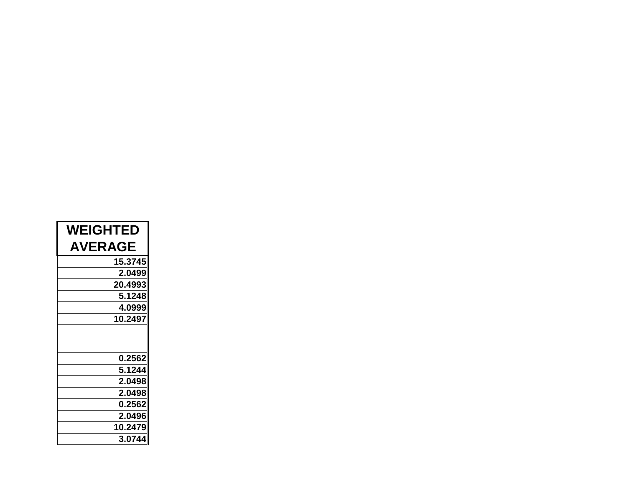| <b>WEIGHTED</b> |
|-----------------|
| <b>AVERAGE</b>  |
| 15.3745         |
| 2.0499          |
| 20.4993         |
| 5.1248          |
| 4.0999          |
| 10.2497         |
|                 |
|                 |
| 0.2562          |
| 5.1244          |
| 2.0498          |
| 2.0498          |
| 0.2562          |
| 2.0496          |
| 10.2479         |
| 3.0744          |